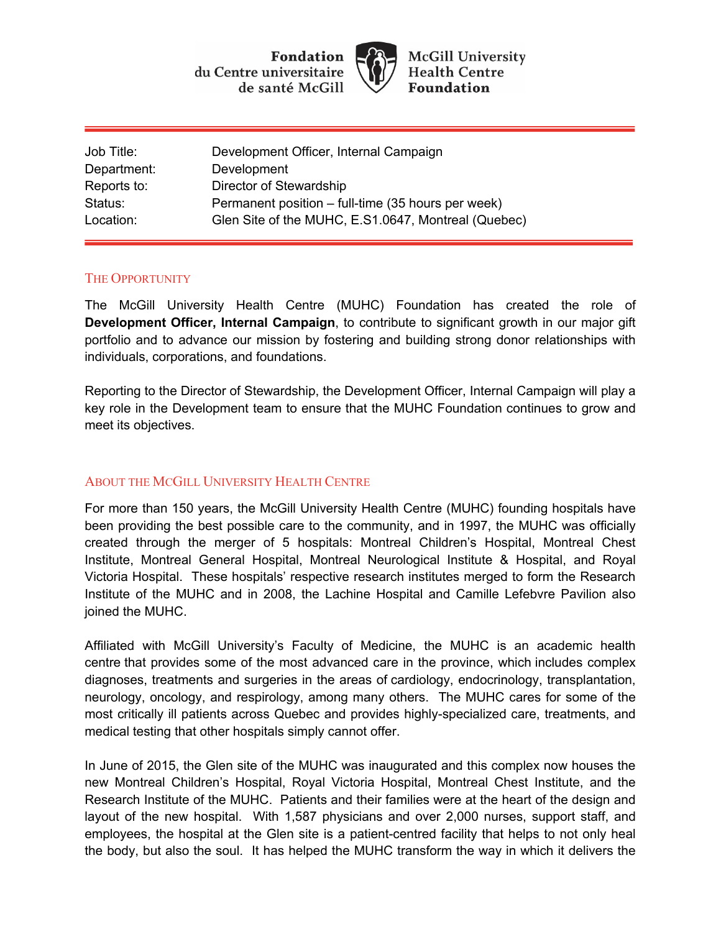



**McGill University Health Centre Foundation** 

| Development Officer, Internal Campaign              |
|-----------------------------------------------------|
| Development                                         |
| Director of Stewardship                             |
| Permanent position – full-time (35 hours per week)  |
| Glen Site of the MUHC, E.S1.0647, Montreal (Quebec) |
|                                                     |

## THE OPPORTUNITY

The McGill University Health Centre (MUHC) Foundation has created the role of **Development Officer, Internal Campaign**, to contribute to significant growth in our major gift portfolio and to advance our mission by fostering and building strong donor relationships with individuals, corporations, and foundations.

Reporting to the Director of Stewardship, the Development Officer, Internal Campaign will play a key role in the Development team to ensure that the MUHC Foundation continues to grow and meet its objectives.

## ABOUT THE MCGILL UNIVERSITY HEALTH CENTRE

For more than 150 years, the McGill University Health Centre (MUHC) founding hospitals have been providing the best possible care to the community, and in 1997, the MUHC was officially created through the merger of 5 hospitals: Montreal Children's Hospital, Montreal Chest Institute, Montreal General Hospital, Montreal Neurological Institute & Hospital, and Royal Victoria Hospital. These hospitals' respective research institutes merged to form the Research Institute of the MUHC and in 2008, the Lachine Hospital and Camille Lefebvre Pavilion also joined the MUHC.

Affiliated with McGill University's Faculty of Medicine, the MUHC is an academic health centre that provides some of the most advanced care in the province, which includes complex diagnoses, treatments and surgeries in the areas of cardiology, endocrinology, transplantation, neurology, oncology, and respirology, among many others. The MUHC cares for some of the most critically ill patients across Quebec and provides highly-specialized care, treatments, and medical testing that other hospitals simply cannot offer.

In June of 2015, the Glen site of the MUHC was inaugurated and this complex now houses the new Montreal Children's Hospital, Royal Victoria Hospital, Montreal Chest Institute, and the Research Institute of the MUHC. Patients and their families were at the heart of the design and layout of the new hospital. With 1,587 physicians and over 2,000 nurses, support staff, and employees, the hospital at the Glen site is a patient-centred facility that helps to not only heal the body, but also the soul. It has helped the MUHC transform the way in which it delivers the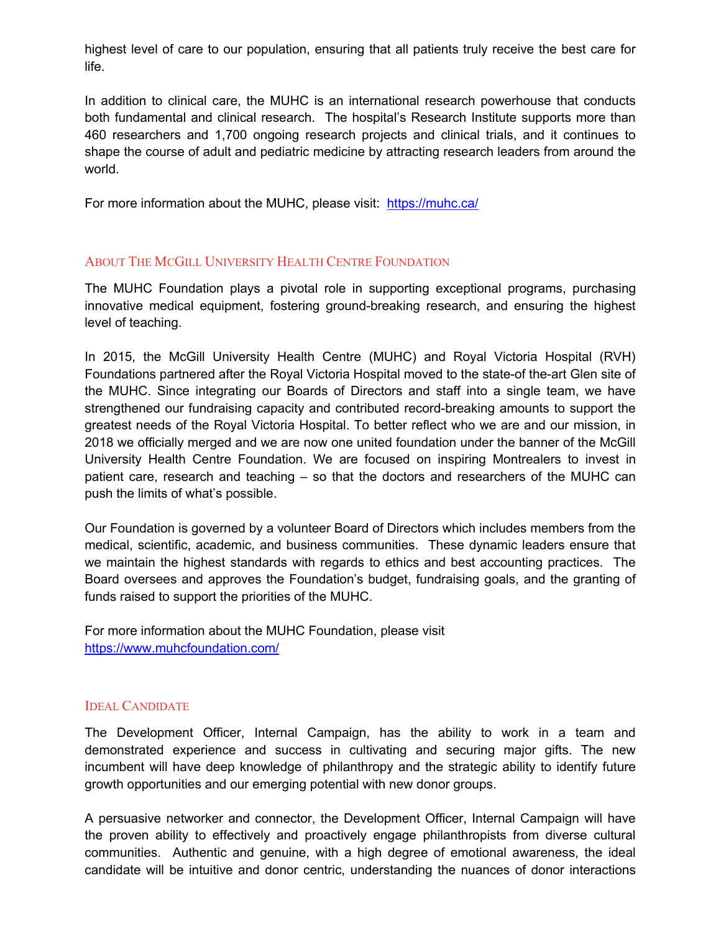highest level of care to our population, ensuring that all patients truly receive the best care for life.

In addition to clinical care, the MUHC is an international research powerhouse that conducts both fundamental and clinical research. The hospital's Research Institute supports more than 460 researchers and 1,700 ongoing research projects and clinical trials, and it continues to shape the course of adult and pediatric medicine by attracting research leaders from around the world.

For more information about the MUHC, please visit: https://muhc.ca/

# ABOUT THE MCGILL UNIVERSITY HEALTH CENTRE FOUNDATION

The MUHC Foundation plays a pivotal role in supporting exceptional programs, purchasing innovative medical equipment, fostering ground-breaking research, and ensuring the highest level of teaching.

In 2015, the McGill University Health Centre (MUHC) and Royal Victoria Hospital (RVH) Foundations partnered after the Royal Victoria Hospital moved to the state-of the-art Glen site of the MUHC. Since integrating our Boards of Directors and staff into a single team, we have strengthened our fundraising capacity and contributed record-breaking amounts to support the greatest needs of the Royal Victoria Hospital. To better reflect who we are and our mission, in 2018 we officially merged and we are now one united foundation under the banner of the McGill University Health Centre Foundation. We are focused on inspiring Montrealers to invest in patient care, research and teaching – so that the doctors and researchers of the MUHC can push the limits of what's possible.

Our Foundation is governed by a volunteer Board of Directors which includes members from the medical, scientific, academic, and business communities. These dynamic leaders ensure that we maintain the highest standards with regards to ethics and best accounting practices. The Board oversees and approves the Foundation's budget, fundraising goals, and the granting of funds raised to support the priorities of the MUHC.

For more information about the MUHC Foundation, please visit https://www.muhcfoundation.com/

## IDEAL CANDIDATE

The Development Officer, Internal Campaign, has the ability to work in a team and demonstrated experience and success in cultivating and securing major gifts. The new incumbent will have deep knowledge of philanthropy and the strategic ability to identify future growth opportunities and our emerging potential with new donor groups.

A persuasive networker and connector, the Development Officer, Internal Campaign will have the proven ability to effectively and proactively engage philanthropists from diverse cultural communities. Authentic and genuine, with a high degree of emotional awareness, the ideal candidate will be intuitive and donor centric, understanding the nuances of donor interactions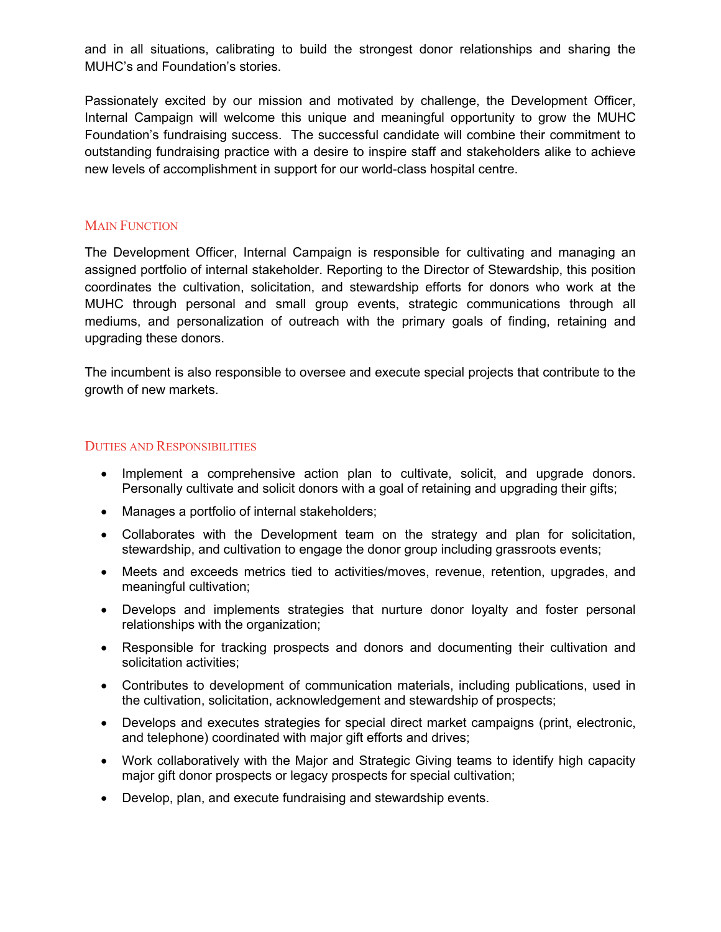and in all situations, calibrating to build the strongest donor relationships and sharing the MUHC's and Foundation's stories.

Passionately excited by our mission and motivated by challenge, the Development Officer, Internal Campaign will welcome this unique and meaningful opportunity to grow the MUHC Foundation's fundraising success. The successful candidate will combine their commitment to outstanding fundraising practice with a desire to inspire staff and stakeholders alike to achieve new levels of accomplishment in support for our world-class hospital centre.

## **MAIN FUNCTION**

The Development Officer, Internal Campaign is responsible for cultivating and managing an assigned portfolio of internal stakeholder. Reporting to the Director of Stewardship, this position coordinates the cultivation, solicitation, and stewardship efforts for donors who work at the MUHC through personal and small group events, strategic communications through all mediums, and personalization of outreach with the primary goals of finding, retaining and upgrading these donors.

The incumbent is also responsible to oversee and execute special projects that contribute to the growth of new markets.

## DUTIES AND RESPONSIBILITIES

- Implement a comprehensive action plan to cultivate, solicit, and upgrade donors. Personally cultivate and solicit donors with a goal of retaining and upgrading their gifts;
- Manages a portfolio of internal stakeholders;
- Collaborates with the Development team on the strategy and plan for solicitation, stewardship, and cultivation to engage the donor group including grassroots events;
- Meets and exceeds metrics tied to activities/moves, revenue, retention, upgrades, and meaningful cultivation;
- Develops and implements strategies that nurture donor loyalty and foster personal relationships with the organization;
- Responsible for tracking prospects and donors and documenting their cultivation and solicitation activities;
- Contributes to development of communication materials, including publications, used in the cultivation, solicitation, acknowledgement and stewardship of prospects;
- Develops and executes strategies for special direct market campaigns (print, electronic, and telephone) coordinated with major gift efforts and drives;
- Work collaboratively with the Major and Strategic Giving teams to identify high capacity major gift donor prospects or legacy prospects for special cultivation;
- Develop, plan, and execute fundraising and stewardship events.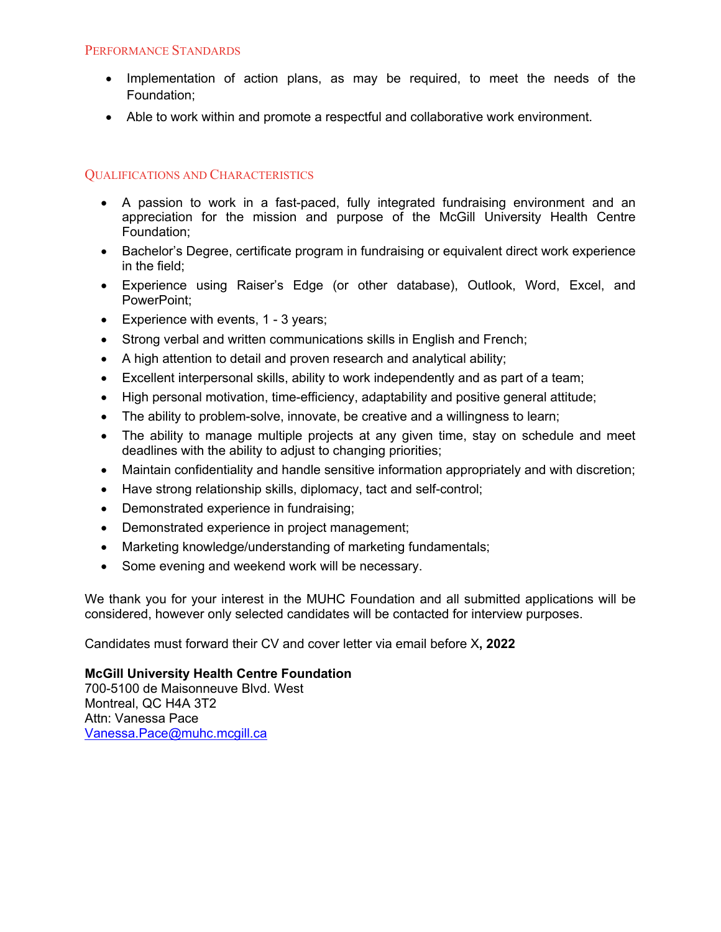## PERFORMANCE STANDARDS

- Implementation of action plans, as may be required, to meet the needs of the Foundation;
- Able to work within and promote a respectful and collaborative work environment.

# QUALIFICATIONS AND CHARACTERISTICS

- A passion to work in a fast-paced, fully integrated fundraising environment and an appreciation for the mission and purpose of the McGill University Health Centre Foundation;
- Bachelor's Degree, certificate program in fundraising or equivalent direct work experience in the field;
- Experience using Raiser's Edge (or other database), Outlook, Word, Excel, and PowerPoint;
- Experience with events, 1 3 years;
- Strong verbal and written communications skills in English and French;
- A high attention to detail and proven research and analytical ability;
- Excellent interpersonal skills, ability to work independently and as part of a team;
- High personal motivation, time-efficiency, adaptability and positive general attitude;
- The ability to problem-solve, innovate, be creative and a willingness to learn;
- The ability to manage multiple projects at any given time, stay on schedule and meet deadlines with the ability to adjust to changing priorities;
- Maintain confidentiality and handle sensitive information appropriately and with discretion;
- Have strong relationship skills, diplomacy, tact and self-control;
- Demonstrated experience in fundraising;
- Demonstrated experience in project management;
- Marketing knowledge/understanding of marketing fundamentals;
- Some evening and weekend work will be necessary.

We thank you for your interest in the MUHC Foundation and all submitted applications will be considered, however only selected candidates will be contacted for interview purposes.

Candidates must forward their CV and cover letter via email before X**, 2022**

## **McGill University Health Centre Foundation**

700-5100 de Maisonneuve Blvd. West Montreal, QC H4A 3T2 Attn: Vanessa Pace Vanessa.Pace@muhc.mcgill.ca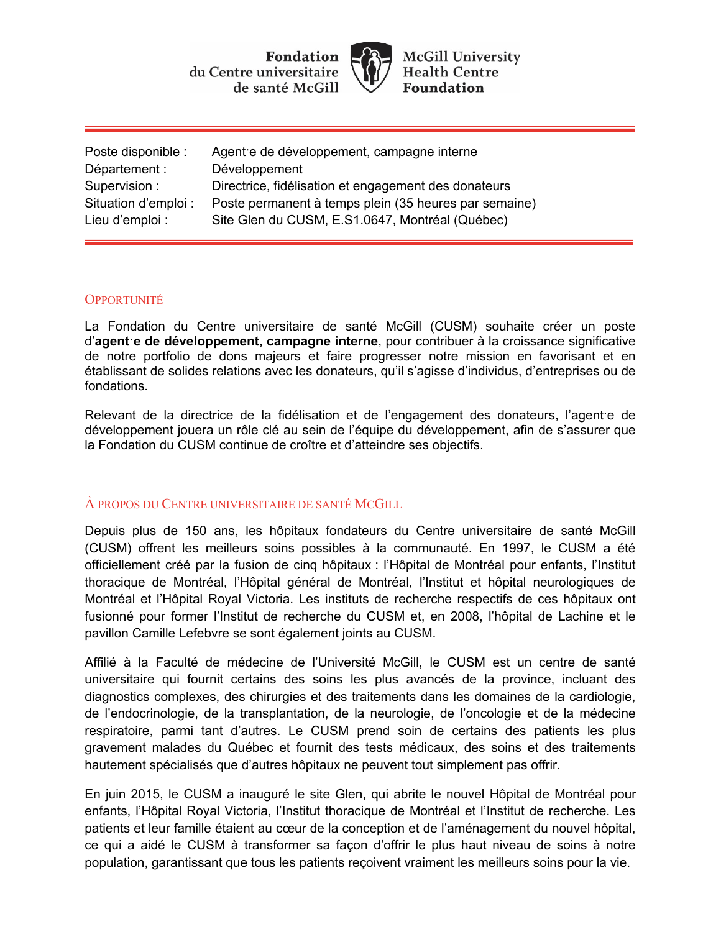Fondation du Centre universitaire de santé McGill



**McGill University Health Centre Foundation** 

| Agent e de développement, campagne interne            |
|-------------------------------------------------------|
| Développement                                         |
| Directrice, fidélisation et engagement des donateurs  |
| Poste permanent à temps plein (35 heures par semaine) |
| Site Glen du CUSM, E.S1.0647, Montréal (Québec)       |
|                                                       |

## **OPPORTUNITÉ**

La Fondation du Centre universitaire de santé McGill (CUSM) souhaite créer un poste d'**agent·e de développement, campagne interne**, pour contribuer à la croissance significative de notre portfolio de dons majeurs et faire progresser notre mission en favorisant et en établissant de solides relations avec les donateurs, qu'il s'agisse d'individus, d'entreprises ou de fondations.

Relevant de la directrice de la fidélisation et de l'engagement des donateurs, l'agent·e de développement jouera un rôle clé au sein de l'équipe du développement, afin de s'assurer que la Fondation du CUSM continue de croître et d'atteindre ses objectifs.

## À PROPOS DU CENTRE UNIVERSITAIRE DE SANTÉ MCGILL

Depuis plus de 150 ans, les hôpitaux fondateurs du Centre universitaire de santé McGill (CUSM) offrent les meilleurs soins possibles à la communauté. En 1997, le CUSM a été officiellement créé par la fusion de cinq hôpitaux : l'Hôpital de Montréal pour enfants, l'Institut thoracique de Montréal, l'Hôpital général de Montréal, l'Institut et hôpital neurologiques de Montréal et l'Hôpital Royal Victoria. Les instituts de recherche respectifs de ces hôpitaux ont fusionné pour former l'Institut de recherche du CUSM et, en 2008, l'hôpital de Lachine et le pavillon Camille Lefebvre se sont également joints au CUSM.

Affilié à la Faculté de médecine de l'Université McGill, le CUSM est un centre de santé universitaire qui fournit certains des soins les plus avancés de la province, incluant des diagnostics complexes, des chirurgies et des traitements dans les domaines de la cardiologie, de l'endocrinologie, de la transplantation, de la neurologie, de l'oncologie et de la médecine respiratoire, parmi tant d'autres. Le CUSM prend soin de certains des patients les plus gravement malades du Québec et fournit des tests médicaux, des soins et des traitements hautement spécialisés que d'autres hôpitaux ne peuvent tout simplement pas offrir.

En juin 2015, le CUSM a inauguré le site Glen, qui abrite le nouvel Hôpital de Montréal pour enfants, l'Hôpital Royal Victoria, l'Institut thoracique de Montréal et l'Institut de recherche. Les patients et leur famille étaient au cœur de la conception et de l'aménagement du nouvel hôpital, ce qui a aidé le CUSM à transformer sa façon d'offrir le plus haut niveau de soins à notre population, garantissant que tous les patients reçoivent vraiment les meilleurs soins pour la vie.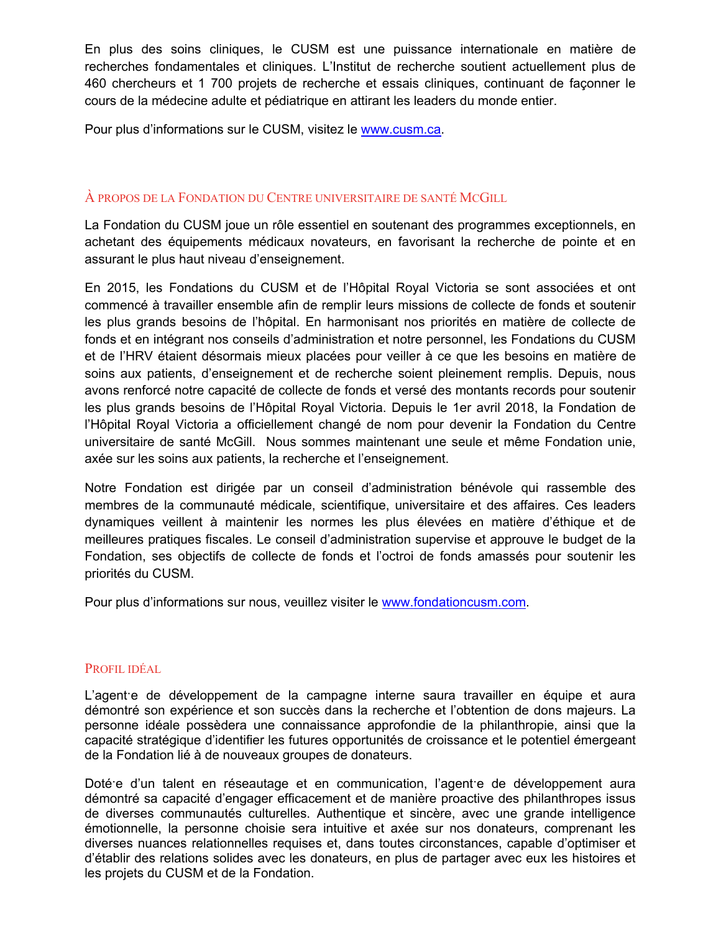En plus des soins cliniques, le CUSM est une puissance internationale en matière de recherches fondamentales et cliniques. L'Institut de recherche soutient actuellement plus de 460 chercheurs et 1 700 projets de recherche et essais cliniques, continuant de façonner le cours de la médecine adulte et pédiatrique en attirant les leaders du monde entier.

Pour plus d'informations sur le CUSM, visitez le www.cusm.ca.

# À PROPOS DE LA FONDATION DU CENTRE UNIVERSITAIRE DE SANTÉ MCGILL

La Fondation du CUSM joue un rôle essentiel en soutenant des programmes exceptionnels, en achetant des équipements médicaux novateurs, en favorisant la recherche de pointe et en assurant le plus haut niveau d'enseignement.

En 2015, les Fondations du CUSM et de l'Hôpital Royal Victoria se sont associées et ont commencé à travailler ensemble afin de remplir leurs missions de collecte de fonds et soutenir les plus grands besoins de l'hôpital. En harmonisant nos priorités en matière de collecte de fonds et en intégrant nos conseils d'administration et notre personnel, les Fondations du CUSM et de l'HRV étaient désormais mieux placées pour veiller à ce que les besoins en matière de soins aux patients, d'enseignement et de recherche soient pleinement remplis. Depuis, nous avons renforcé notre capacité de collecte de fonds et versé des montants records pour soutenir les plus grands besoins de l'Hôpital Royal Victoria. Depuis le 1er avril 2018, la Fondation de l'Hôpital Royal Victoria a officiellement changé de nom pour devenir la Fondation du Centre universitaire de santé McGill. Nous sommes maintenant une seule et même Fondation unie, axée sur les soins aux patients, la recherche et l'enseignement.

Notre Fondation est dirigée par un conseil d'administration bénévole qui rassemble des membres de la communauté médicale, scientifique, universitaire et des affaires. Ces leaders dynamiques veillent à maintenir les normes les plus élevées en matière d'éthique et de meilleures pratiques fiscales. Le conseil d'administration supervise et approuve le budget de la Fondation, ses objectifs de collecte de fonds et l'octroi de fonds amassés pour soutenir les priorités du CUSM.

Pour plus d'informations sur nous, veuillez visiter le www.fondationcusm.com.

#### PROFIL IDÉAL

L'agent·e de développement de la campagne interne saura travailler en équipe et aura démontré son expérience et son succès dans la recherche et l'obtention de dons majeurs. La personne idéale possèdera une connaissance approfondie de la philanthropie, ainsi que la capacité stratégique d'identifier les futures opportunités de croissance et le potentiel émergeant de la Fondation lié à de nouveaux groupes de donateurs.

Dotée d'un talent en réseautage et en communication, l'agente de développement aura démontré sa capacité d'engager efficacement et de manière proactive des philanthropes issus de diverses communautés culturelles. Authentique et sincère, avec une grande intelligence émotionnelle, la personne choisie sera intuitive et axée sur nos donateurs, comprenant les diverses nuances relationnelles requises et, dans toutes circonstances, capable d'optimiser et d'établir des relations solides avec les donateurs, en plus de partager avec eux les histoires et les projets du CUSM et de la Fondation.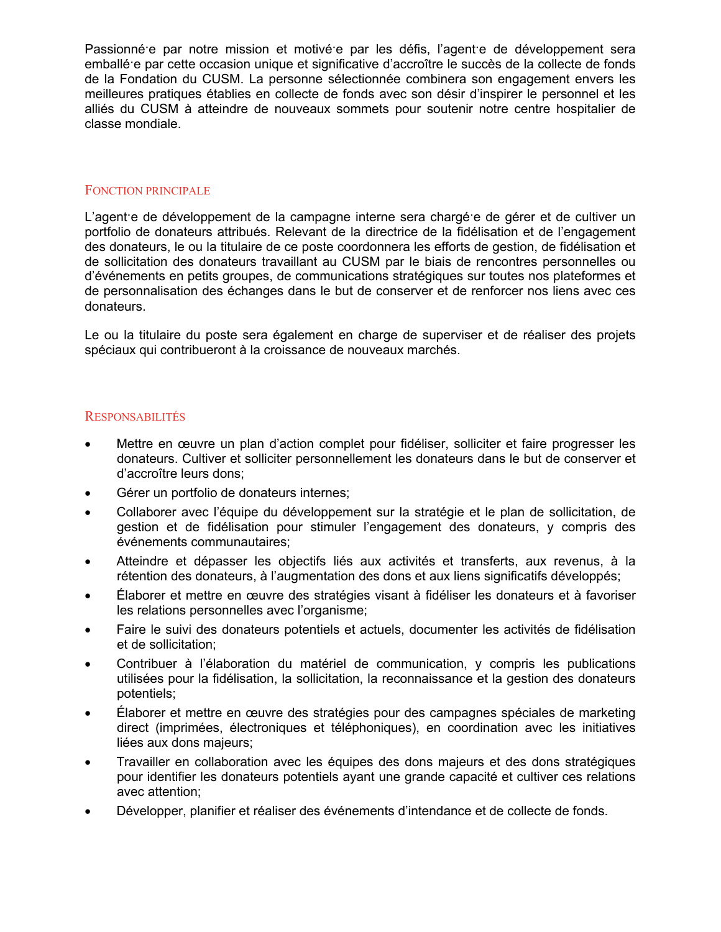Passionnée par notre mission et motivée par les défis, l'agente de développement sera emballé·e par cette occasion unique et significative d'accroître le succès de la collecte de fonds de la Fondation du CUSM. La personne sélectionnée combinera son engagement envers les meilleures pratiques établies en collecte de fonds avec son désir d'inspirer le personnel et les alliés du CUSM à atteindre de nouveaux sommets pour soutenir notre centre hospitalier de classe mondiale.

#### FONCTION PRINCIPALE

L'agent·e de développement de la campagne interne sera chargé·e de gérer et de cultiver un portfolio de donateurs attribués. Relevant de la directrice de la fidélisation et de l'engagement des donateurs, le ou la titulaire de ce poste coordonnera les efforts de gestion, de fidélisation et de sollicitation des donateurs travaillant au CUSM par le biais de rencontres personnelles ou d'événements en petits groupes, de communications stratégiques sur toutes nos plateformes et de personnalisation des échanges dans le but de conserver et de renforcer nos liens avec ces donateurs.

Le ou la titulaire du poste sera également en charge de superviser et de réaliser des projets spéciaux qui contribueront à la croissance de nouveaux marchés.

#### RESPONSABILITÉS

- Mettre en œuvre un plan d'action complet pour fidéliser, solliciter et faire progresser les donateurs. Cultiver et solliciter personnellement les donateurs dans le but de conserver et d'accroître leurs dons;
- Gérer un portfolio de donateurs internes;
- Collaborer avec l'équipe du développement sur la stratégie et le plan de sollicitation, de gestion et de fidélisation pour stimuler l'engagement des donateurs, y compris des événements communautaires;
- Atteindre et dépasser les objectifs liés aux activités et transferts, aux revenus, à la rétention des donateurs, à l'augmentation des dons et aux liens significatifs développés;
- Élaborer et mettre en œuvre des stratégies visant à fidéliser les donateurs et à favoriser les relations personnelles avec l'organisme;
- Faire le suivi des donateurs potentiels et actuels, documenter les activités de fidélisation et de sollicitation;
- Contribuer à l'élaboration du matériel de communication, y compris les publications utilisées pour la fidélisation, la sollicitation, la reconnaissance et la gestion des donateurs potentiels;
- Élaborer et mettre en œuvre des stratégies pour des campagnes spéciales de marketing direct (imprimées, électroniques et téléphoniques), en coordination avec les initiatives liées aux dons majeurs;
- Travailler en collaboration avec les équipes des dons majeurs et des dons stratégiques pour identifier les donateurs potentiels ayant une grande capacité et cultiver ces relations avec attention;
- Développer, planifier et réaliser des événements d'intendance et de collecte de fonds.